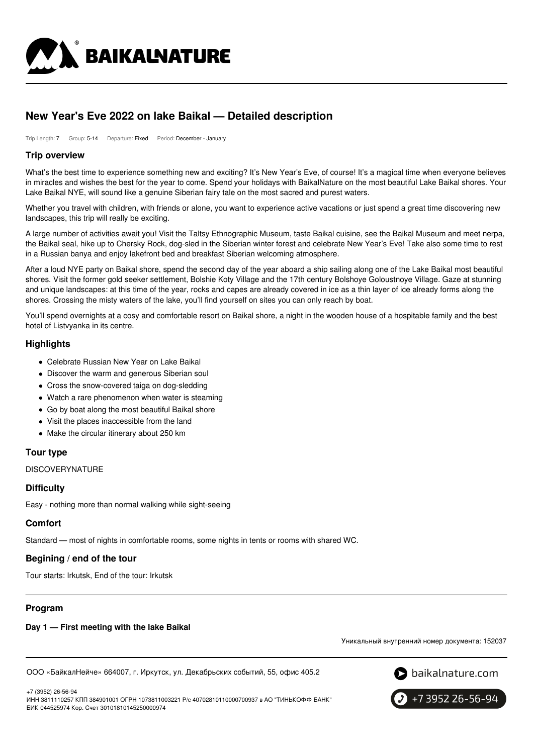

# **New Year's Eve 2022 on lake Baikal — Detailed description**

Trip Length: 7 Group: 5-14 Departure: Fixed Period: December - January

### **Trip overview**

What's the best time to experience something new and exciting? It's New Year's Eve, of course! It's a magical time when everyone believes in miracles and wishes the best for the year to come. Spend your holidays with BaikalNature on the most beautiful Lake Baikal shores. Your Lake Baikal NYE, will sound like a genuine Siberian fairy tale on the most sacred and purest waters.

Whether you travel with children, with friends or alone, you want to experience active vacations or just spend a great time discovering new landscapes, this trip will really be exciting.

A large number of activities await you! Visit the Taltsy Ethnographic Museum, taste Baikal cuisine, see the Baikal Museum and meet nerpa, the Baikal seal, hike up to Chersky Rock, dog-sled in the Siberian winter forest and celebrate New Year's Eve! Take also some time to rest in a Russian banya and enjoy lakefront bed and breakfast Siberian welcoming atmosphere.

After a loud NYE party on Baikal shore, spend the second day of the year aboard a ship sailing along one of the Lake Baikal most beautiful shores. Visit the former gold seeker settlement, Bolshie Koty Village and the 17th century Bolshoye Goloustnoye Village. Gaze at stunning and unique landscapes: at this time of the year, rocks and capes are already covered in ice as a thin layer of ice already forms along the shores. Crossing the misty waters of the lake, you'll find yourself on sites you can only reach by boat.

You'll spend overnights at a cosy and comfortable resort on Baikal shore, a night in the wooden house of a hospitable family and the best hotel of Listvyanka in its centre.

### **Highlights**

- Celebrate Russian New Year on Lake Baikal
- Discover the warm and generous Siberian soul
- Cross the snow-covered taiga on dog-sledding
- Watch a rare phenomenon when water is steaming
- Go by boat along the most beautiful Baikal shore
- Visit the places inaccessible from the land
- Make the circular itinerary about 250 km

# **Tour type**

DISCOVERYNATURE

### **Difficulty**

Easy - nothing more than normal walking while sight-seeing

### **Comfort**

Standard — most of nights in comfortable rooms, some nights in tents or rooms with shared WC.

# **Begining / end of the tour**

Tour starts: Irkutsk, End of the tour: Irkutsk

# **Program**

+7 (3952) 26-56-94

### **Day 1 — First meeting with the lake Baikal**

Уникальный внутренний номер документа: 152037

ООО «БайкалНейче» 664007, г. Иркутск, ул. Декабрьских событий, 55, офис 405.2





ИНН 3811110257 КПП 384901001 ОГРН 1073811003221 Р/с 40702810110000700937 в АО "ТИНЬКОФФ БАНК" БИК 044525974 Кор. Счет 30101810145250000974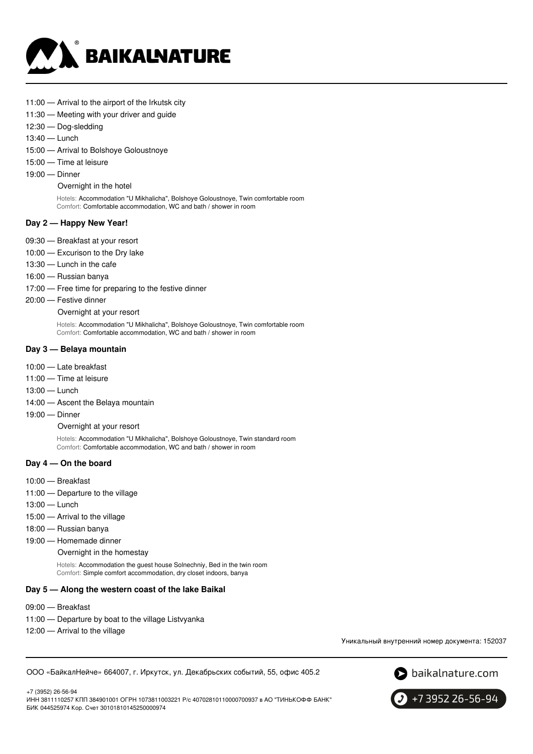

- 11:00 Arrival to the airport of the Irkutsk city
- 11:30 Meeting with your driver and guide
- 12:30 Dog-sledding
- 13:40 Lunch
- 15:00 Arrival to Bolshoye Goloustnoye
- 15:00 Time at leisure
- 19:00 Dinner

Overnight in the hotel

Hotels: Accommodation "U Mikhalicha", Bolshoye Goloustnoye, Twin comfortable room Comfort: Comfortable accommodation, WC and bath / shower in room

#### **Day 2 — Happy New Year!**

- 09:30 Breakfast at your resort
- 10:00 Excurison to the Dry lake
- 13:30 Lunch in the cafe
- 16:00 Russian banya
- 17:00 Free time for preparing to the festive dinner
- 20:00 Festive dinner

Overnight at your resort

Hotels: Accommodation "U Mikhalicha", Bolshoye Goloustnoye, Twin comfortable room Comfort: Comfortable accommodation, WC and bath / shower in room

#### **Day 3 — Belaya mountain**

- 10:00 Late breakfast
- 11:00 Time at leisure
- 13:00 Lunch
- 14:00 Ascent the Belaya mountain
- 19:00 Dinner

Overnight at your resort

Hotels: Accommodation "U Mikhalicha", Bolshoye Goloustnoye, Twin standard room Comfort: Comfortable accommodation, WC and bath / shower in room

#### **Day 4 — On the board**

- 10:00 Breakfast
- 11:00 Departure to the village
- 13:00 Lunch
- 15:00 Arrival to the village
- 18:00 Russian banya
- 19:00 Homemade dinner

Overnight in the homestay

Hotels: Accommodation the guest house Solnechniy, Bed in the twin room Comfort: Simple comfort accommodation, dry closet indoors, banya

#### **Day 5 — Along the western coast of the lake Baikal**

- 09:00 Breakfast
- 11:00 Departure by boat to the village Listvyanka
- 12:00 Arrival to the village

Уникальный внутренний номер документа: 152037

ООО «БайкалНейче» 664007, г. Иркутск, ул. Декабрьских событий, 55, офис 405.2



+7 (3952) 26-56-94 ИНН 3811110257 КПП 384901001 ОГРН 1073811003221 Р/с 40702810110000700937 в АО "ТИНЬКОФФ БАНК" БИК 044525974 Кор. Счет 30101810145250000974

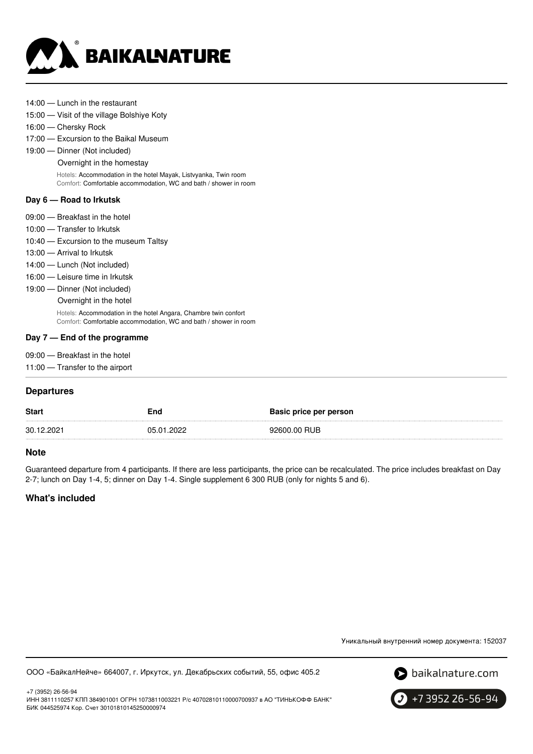

- 14:00 Lunch in the restaurant
- 15:00 Visit of the village Bolshiye Koty
- 16:00 Chersky Rock
- 17:00 Excursion to the Baikal Museum
- 19:00 Dinner (Not included)

Overnight in the homestay

Hotels: Accommodation in the hotel Mayak, Listvyanka, Twin room Comfort: Comfortable accommodation, WC and bath / shower in room

#### **Day 6 — Road to Irkutsk**

- 09:00 Breakfast in the hotel
- 10:00 Transfer to Irkutsk
- 10:40 Excursion to the museum Taltsy
- 13:00 Arrival to Irkutsk
- 14:00 Lunch (Not included)
- 16:00 Leisure time in Irkutsk
- 19:00 Dinner (Not included)
	- Overnight in the hotel

Hotels: Accommodation in the hotel Angara, Chambre twin confort Comfort: Comfortable accommodation, WC and bath / shower in room

#### **Day 7 — End of the programme**

- 09:00 Breakfast in the hotel
- 11:00 Transfer to the airport

### **Departures**

| <b>Start</b> | End        | Basic price per person |
|--------------|------------|------------------------|
| 30.12.2021   | 05.01.2022 | 92600.00 RUB           |
|              |            |                        |

### **Note**

Guaranteed departure from 4 participants. If there are less participants, the price can be recalculated. The price includes breakfast on Day 2-7; lunch on Day 1-4, 5; dinner on Day 1-4. Single supplement 6 300 RUB (only for nights 5 and 6).

# **What's included**

Уникальный внутренний номер документа: 152037

ООО «БайкалНейче» 664007, г. Иркутск, ул. Декабрьских событий, 55, офис 405.2



+7 (3952) 26-56-94 ИНН 3811110257 КПП 384901001 ОГРН 1073811003221 Р/с 40702810110000700937 в АО "ТИНЬКОФФ БАНК" БИК 044525974 Кор. Счет 30101810145250000974

+7 3952 26-56-94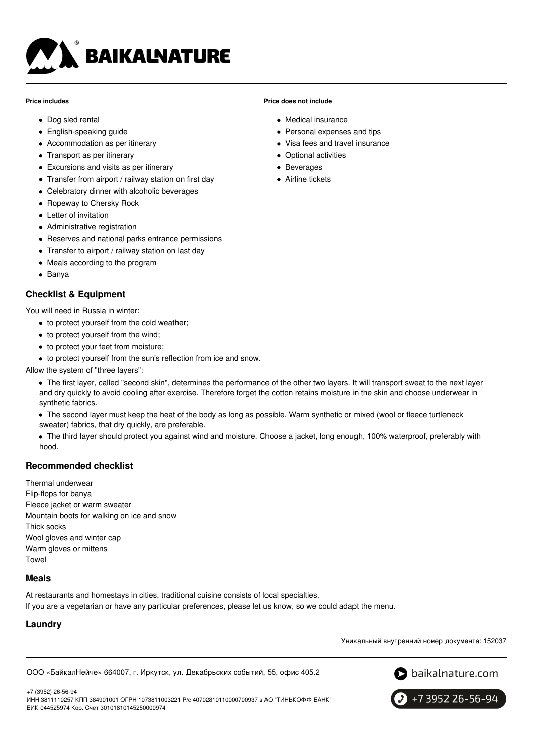

#### **Price includes**

- Dog sled rental
- English-speaking guide
- Accommodation as per itinerary
- Transport as per itinerary
- Excursions and visits as per itinerary
- Transfer from airport / railway station on first day
- Celebratory dinner with alcoholic beverages
- Ropeway to Chersky Rock
- Letter of invitation
- Administrative registration
- Reserves and national parks entrance permissions
- Transfer to airport / railway station on last day
- Meals according to the program
- Banya

### **Checklist & Equipment**

You will need in Russia in winter:

- to protect yourself from the cold weather;
- to protect yourself from the wind;
- to protect your feet from moisture;
- to protect yourself from the sun's reflection from ice and snow.

Allow the system of "three layers":

The first layer, called "second skin", determines the performance of the other two layers. It will transport sweat to the next layer and dry quickly to avoid cooling after exercise. Therefore forget the cotton retains moisture in the skin and choose underwear in synthetic fabrics.

The second layer must keep the heat of the body as long as possible. Warm synthetic or mixed (wool or fleece turtleneck sweater) fabrics, that dry quickly, are preferable.

The third layer should protect you against wind and moisture. Choose a jacket, long enough, 100% waterproof, preferably with hood.

# **Recommended checklist**

Thermal underwear Flip-flops for banya Fleece jacket or warm sweater Mountain boots for walking on ice and snow Thick socks Wool gloves and winter cap Warm gloves or mittens Towel

### **Meals**

At restaurants and homestays in cities, traditional cuisine consists of local specialties. If you are a vegetarian or have any particular preferences, please let us know, so we could adapt the menu.

# **Laundry**

Уникальный внутренний номер документа: 152037

ООО «БайкалНейче» 664007, г. Иркутск, ул. Декабрьских событий, 55, офис 405.2



+7 (3952) 26-56-94 ИНН 3811110257 КПП 384901001 ОГРН 1073811003221 Р/с 40702810110000700937 в АО "ТИНЬКОФФ БАНК" БИК 044525974 Кор. Счет 30101810145250000974



# **Price does not include**

- Medical insurance
- Personal expenses and tips
- Visa fees and travel insurance
- Optional activities
- Beverages
- Airline tickets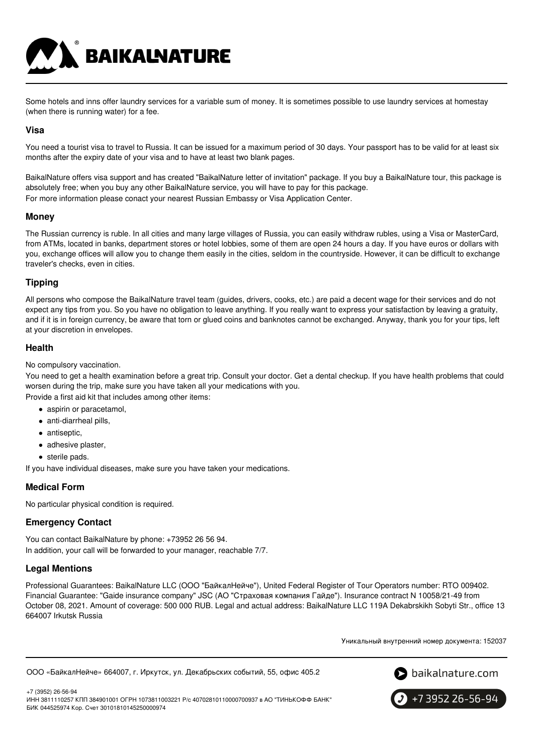Some hotels and inns offer laundry services for a variable sum of money. It is sometimes possible to use laundry services at homestay (when there is running water) for a fee.

### **Visa**

You need a tourist visa to travel to Russia. It can be issued for a maximum period of 30 days. Your passport has to be valid for at least six months after the expiry date of your visa and to have at least two blank pages.

BaikalNature offers visa support and has created "BaikalNature letter of invitation" package. If you buy a BaikalNature tour, this package is absolutely free; when you buy any other BaikalNature service, you will have to pay for this package. For more information please conact your nearest Russian Embassy or Visa Application Center.

### **Money**

The Russian currency is ruble. In all cities and many large villages of Russia, you can easily withdraw rubles, using a Visa or MasterCard, from ATMs, located in banks, department stores or hotel lobbies, some of them are open 24 hours a day. If you have euros or dollars with you, exchange offices will allow you to change them easily in the cities, seldom in the countryside. However, it can be difficult to exchange traveler's checks, even in cities.

# **Tipping**

All persons who compose the BaikalNature travel team (guides, drivers, cooks, etc.) are paid a decent wage for their services and do not expect any tips from you. So you have no obligation to leave anything. If you really want to express your satisfaction by leaving a gratuity, and if it is in foreign currency, be aware that torn or glued coins and banknotes cannot be exchanged. Anyway, thank you for your tips, left at your discretion in envelopes.

### **Health**

No compulsory vaccination.

You need to get a health examination before a great trip. Consult your doctor. Get a dental checkup. If you have health problems that could worsen during the trip, make sure you have taken all your medications with you.

Provide a first aid kit that includes among other items:

- aspirin or paracetamol.
- anti-diarrheal pills,
- antiseptic,
- adhesive plaster,
- sterile pads.

If you have individual diseases, make sure you have taken your medications.

**BAIKALNATURE** 

### **Medical Form**

No particular physical condition is required.

# **Emergency Contact**

You can contact BaikalNature by phone: +73952 26 56 94. In addition, your call will be forwarded to your manager, reachable 7/7.

### **Legal Mentions**

Professional Guarantees: BaikalNature LLC (ООО "БайкалНейче"), United Federal Register of Tour Operators number: RTO 009402. Financial Guarantee: "Gaide insurance company" JSC (АО "Страховая компания Гайде"). Insurance contract N 10058/21-49 from October 08, 2021. Amount of coverage: 500 000 RUB. Legal and actual address: BaikalNature LLC 119А Dekabrskikh Sobyti Str., office 13 664007 Irkutsk Russia

Уникальный внутренний номер документа: 152037

```
ООО «БайкалНейче» 664007, г. Иркутск, ул. Декабрьских событий, 55, офис 405.2
```